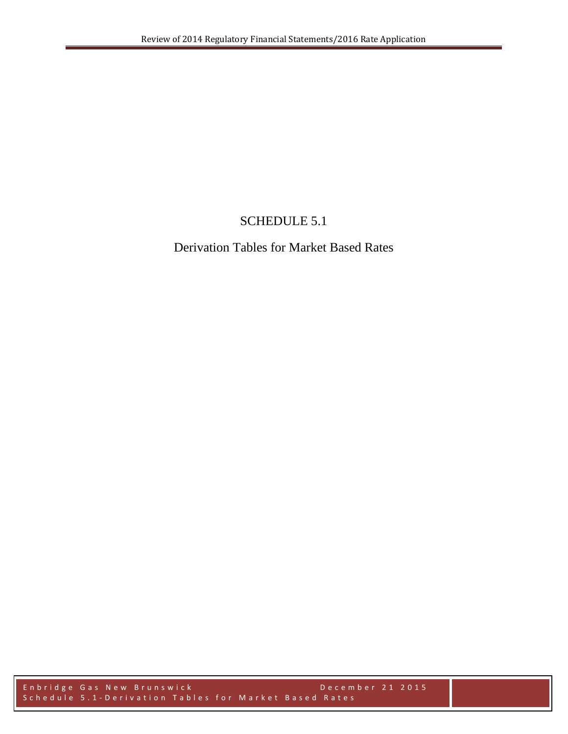## SCHEDULE 5.1

## Derivation Tables for Market Based Rates